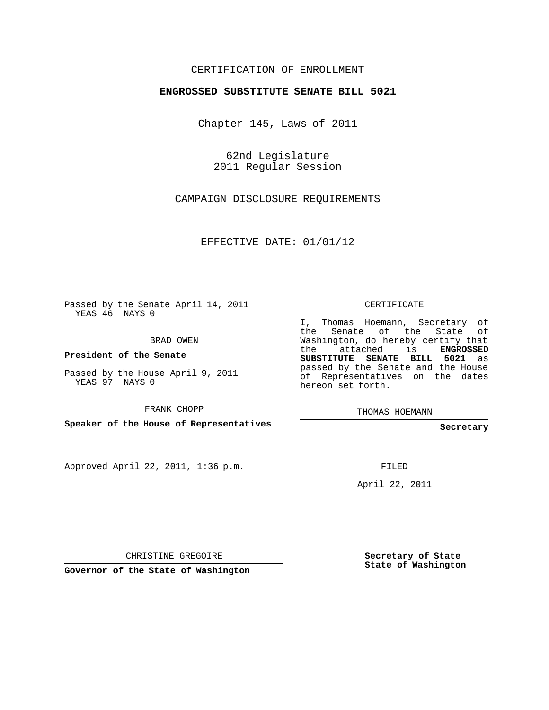## CERTIFICATION OF ENROLLMENT

## **ENGROSSED SUBSTITUTE SENATE BILL 5021**

Chapter 145, Laws of 2011

62nd Legislature 2011 Regular Session

CAMPAIGN DISCLOSURE REQUIREMENTS

EFFECTIVE DATE: 01/01/12

Passed by the Senate April 14, 2011 YEAS 46 NAYS 0

BRAD OWEN

**President of the Senate**

Passed by the House April 9, 2011 YEAS 97 NAYS 0

FRANK CHOPP

**Speaker of the House of Representatives**

Approved April 22, 2011, 1:36 p.m.

CERTIFICATE

I, Thomas Hoemann, Secretary of the Senate of the State of Washington, do hereby certify that the attached is **ENGROSSED SUBSTITUTE SENATE BILL 5021** as passed by the Senate and the House of Representatives on the dates hereon set forth.

THOMAS HOEMANN

**Secretary**

FILED

April 22, 2011

CHRISTINE GREGOIRE

**Governor of the State of Washington**

**Secretary of State State of Washington**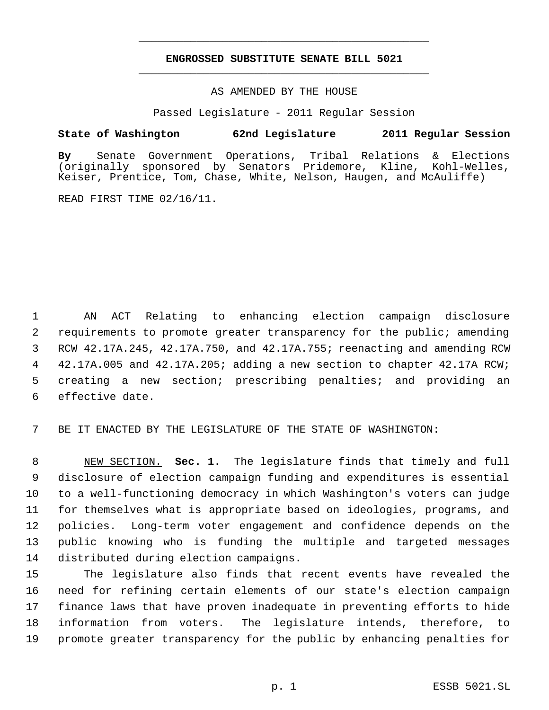## **ENGROSSED SUBSTITUTE SENATE BILL 5021** \_\_\_\_\_\_\_\_\_\_\_\_\_\_\_\_\_\_\_\_\_\_\_\_\_\_\_\_\_\_\_\_\_\_\_\_\_\_\_\_\_\_\_\_\_

\_\_\_\_\_\_\_\_\_\_\_\_\_\_\_\_\_\_\_\_\_\_\_\_\_\_\_\_\_\_\_\_\_\_\_\_\_\_\_\_\_\_\_\_\_

AS AMENDED BY THE HOUSE

Passed Legislature - 2011 Regular Session

## **State of Washington 62nd Legislature 2011 Regular Session**

**By** Senate Government Operations, Tribal Relations & Elections (originally sponsored by Senators Pridemore, Keiser, Prentice, Tom, Chase, White, Nelson, Haugen, and McAuliffe)

READ FIRST TIME 02/16/11.

 AN ACT Relating to enhancing election campaign disclosure requirements to promote greater transparency for the public; amending RCW 42.17A.245, 42.17A.750, and 42.17A.755; reenacting and amending RCW 4 42.17A.005 and 42.17A.205; adding a new section to chapter 42.17A RCW; creating a new section; prescribing penalties; and providing an effective date.

7 BE IT ENACTED BY THE LEGISLATURE OF THE STATE OF WASHINGTON:

 NEW SECTION. **Sec. 1.** The legislature finds that timely and full disclosure of election campaign funding and expenditures is essential to a well-functioning democracy in which Washington's voters can judge for themselves what is appropriate based on ideologies, programs, and policies. Long-term voter engagement and confidence depends on the public knowing who is funding the multiple and targeted messages distributed during election campaigns.

 The legislature also finds that recent events have revealed the need for refining certain elements of our state's election campaign finance laws that have proven inadequate in preventing efforts to hide information from voters. The legislature intends, therefore, to promote greater transparency for the public by enhancing penalties for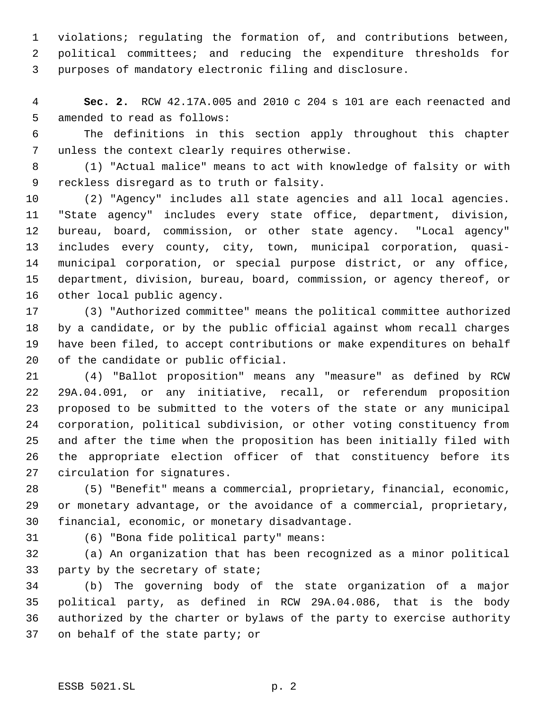violations; regulating the formation of, and contributions between, political committees; and reducing the expenditure thresholds for purposes of mandatory electronic filing and disclosure.

 **Sec. 2.** RCW 42.17A.005 and 2010 c 204 s 101 are each reenacted and amended to read as follows:

 The definitions in this section apply throughout this chapter unless the context clearly requires otherwise.

 (1) "Actual malice" means to act with knowledge of falsity or with reckless disregard as to truth or falsity.

 (2) "Agency" includes all state agencies and all local agencies. "State agency" includes every state office, department, division, bureau, board, commission, or other state agency. "Local agency" includes every county, city, town, municipal corporation, quasi- municipal corporation, or special purpose district, or any office, department, division, bureau, board, commission, or agency thereof, or other local public agency.

 (3) "Authorized committee" means the political committee authorized by a candidate, or by the public official against whom recall charges have been filed, to accept contributions or make expenditures on behalf of the candidate or public official.

 (4) "Ballot proposition" means any "measure" as defined by RCW 29A.04.091, or any initiative, recall, or referendum proposition proposed to be submitted to the voters of the state or any municipal corporation, political subdivision, or other voting constituency from and after the time when the proposition has been initially filed with the appropriate election officer of that constituency before its circulation for signatures.

 (5) "Benefit" means a commercial, proprietary, financial, economic, or monetary advantage, or the avoidance of a commercial, proprietary, financial, economic, or monetary disadvantage.

(6) "Bona fide political party" means:

 (a) An organization that has been recognized as a minor political party by the secretary of state;

 (b) The governing body of the state organization of a major political party, as defined in RCW 29A.04.086, that is the body authorized by the charter or bylaws of the party to exercise authority on behalf of the state party; or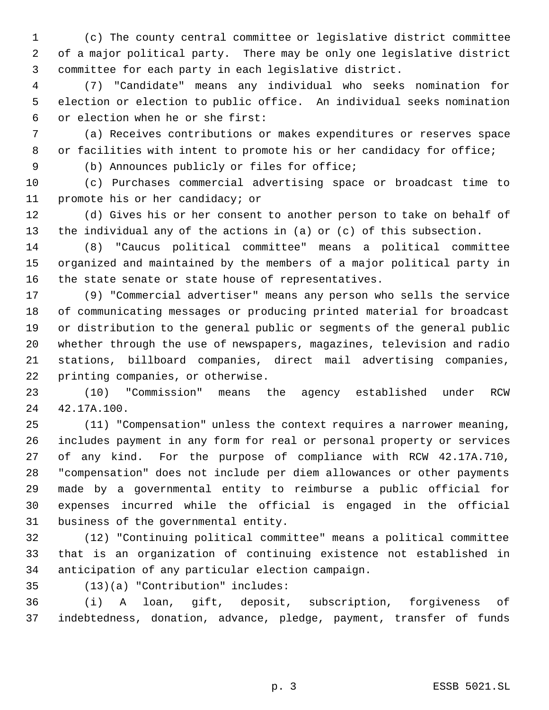(c) The county central committee or legislative district committee of a major political party. There may be only one legislative district committee for each party in each legislative district.

 (7) "Candidate" means any individual who seeks nomination for election or election to public office. An individual seeks nomination or election when he or she first:

 (a) Receives contributions or makes expenditures or reserves space 8 or facilities with intent to promote his or her candidacy for office;

(b) Announces publicly or files for office;

 (c) Purchases commercial advertising space or broadcast time to promote his or her candidacy; or

 (d) Gives his or her consent to another person to take on behalf of the individual any of the actions in (a) or (c) of this subsection.

 (8) "Caucus political committee" means a political committee organized and maintained by the members of a major political party in the state senate or state house of representatives.

 (9) "Commercial advertiser" means any person who sells the service of communicating messages or producing printed material for broadcast or distribution to the general public or segments of the general public whether through the use of newspapers, magazines, television and radio stations, billboard companies, direct mail advertising companies, printing companies, or otherwise.

 (10) "Commission" means the agency established under RCW 42.17A.100.

 (11) "Compensation" unless the context requires a narrower meaning, includes payment in any form for real or personal property or services of any kind. For the purpose of compliance with RCW 42.17A.710, "compensation" does not include per diem allowances or other payments made by a governmental entity to reimburse a public official for expenses incurred while the official is engaged in the official business of the governmental entity.

 (12) "Continuing political committee" means a political committee that is an organization of continuing existence not established in anticipation of any particular election campaign.

(13)(a) "Contribution" includes:

 (i) A loan, gift, deposit, subscription, forgiveness of indebtedness, donation, advance, pledge, payment, transfer of funds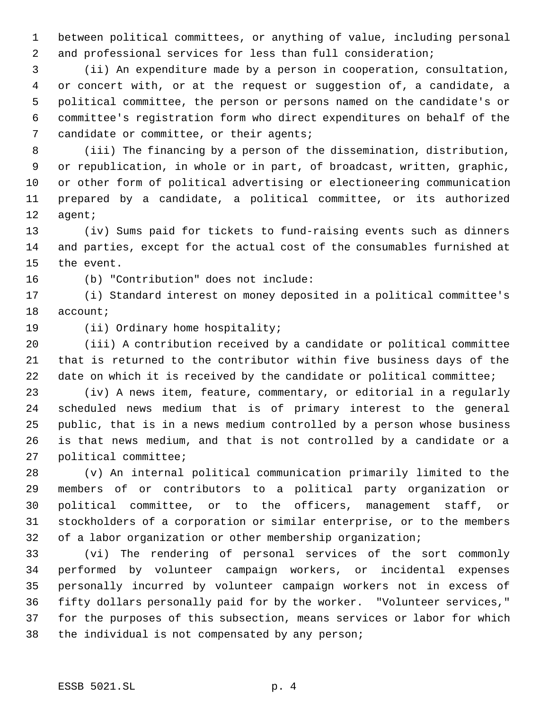between political committees, or anything of value, including personal and professional services for less than full consideration;

 (ii) An expenditure made by a person in cooperation, consultation, or concert with, or at the request or suggestion of, a candidate, a political committee, the person or persons named on the candidate's or committee's registration form who direct expenditures on behalf of the 7 candidate or committee, or their agents;

 (iii) The financing by a person of the dissemination, distribution, or republication, in whole or in part, of broadcast, written, graphic, or other form of political advertising or electioneering communication prepared by a candidate, a political committee, or its authorized agent;

 (iv) Sums paid for tickets to fund-raising events such as dinners and parties, except for the actual cost of the consumables furnished at the event.

(b) "Contribution" does not include:

 (i) Standard interest on money deposited in a political committee's account;

(ii) Ordinary home hospitality;

 (iii) A contribution received by a candidate or political committee that is returned to the contributor within five business days of the 22 date on which it is received by the candidate or political committee;

 (iv) A news item, feature, commentary, or editorial in a regularly scheduled news medium that is of primary interest to the general public, that is in a news medium controlled by a person whose business is that news medium, and that is not controlled by a candidate or a political committee;

 (v) An internal political communication primarily limited to the members of or contributors to a political party organization or political committee, or to the officers, management staff, or stockholders of a corporation or similar enterprise, or to the members 32 of a labor organization or other membership organization;

 (vi) The rendering of personal services of the sort commonly performed by volunteer campaign workers, or incidental expenses personally incurred by volunteer campaign workers not in excess of fifty dollars personally paid for by the worker. "Volunteer services," for the purposes of this subsection, means services or labor for which the individual is not compensated by any person;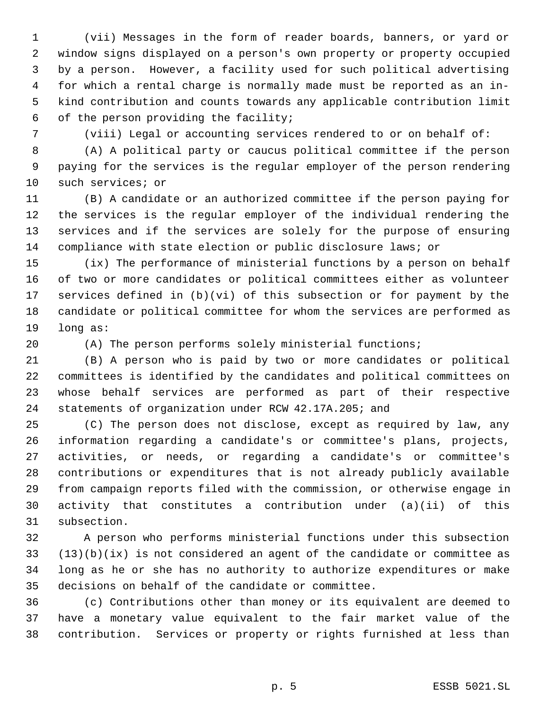(vii) Messages in the form of reader boards, banners, or yard or window signs displayed on a person's own property or property occupied by a person. However, a facility used for such political advertising for which a rental charge is normally made must be reported as an in- kind contribution and counts towards any applicable contribution limit of the person providing the facility;

(viii) Legal or accounting services rendered to or on behalf of:

 (A) A political party or caucus political committee if the person paying for the services is the regular employer of the person rendering such services; or

 (B) A candidate or an authorized committee if the person paying for the services is the regular employer of the individual rendering the services and if the services are solely for the purpose of ensuring compliance with state election or public disclosure laws; or

 (ix) The performance of ministerial functions by a person on behalf of two or more candidates or political committees either as volunteer services defined in (b)(vi) of this subsection or for payment by the candidate or political committee for whom the services are performed as long as:

(A) The person performs solely ministerial functions;

 (B) A person who is paid by two or more candidates or political committees is identified by the candidates and political committees on whose behalf services are performed as part of their respective statements of organization under RCW 42.17A.205; and

 (C) The person does not disclose, except as required by law, any information regarding a candidate's or committee's plans, projects, activities, or needs, or regarding a candidate's or committee's contributions or expenditures that is not already publicly available from campaign reports filed with the commission, or otherwise engage in activity that constitutes a contribution under (a)(ii) of this subsection.

 A person who performs ministerial functions under this subsection (13)(b)(ix) is not considered an agent of the candidate or committee as long as he or she has no authority to authorize expenditures or make decisions on behalf of the candidate or committee.

 (c) Contributions other than money or its equivalent are deemed to have a monetary value equivalent to the fair market value of the contribution. Services or property or rights furnished at less than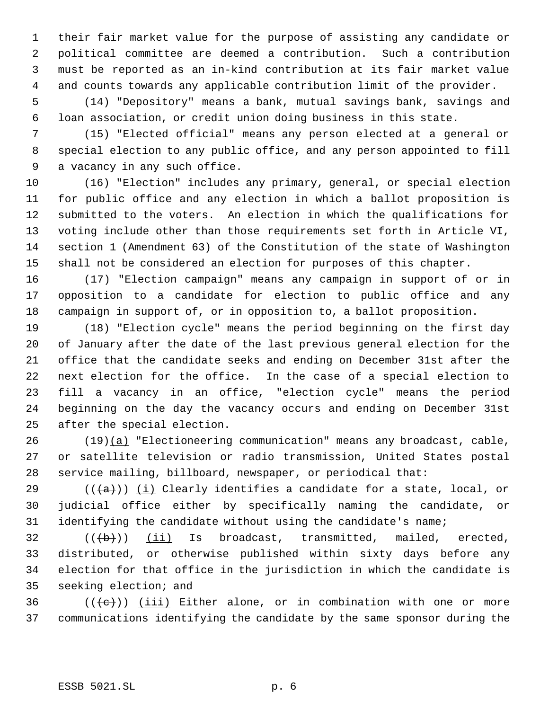their fair market value for the purpose of assisting any candidate or political committee are deemed a contribution. Such a contribution must be reported as an in-kind contribution at its fair market value and counts towards any applicable contribution limit of the provider.

 (14) "Depository" means a bank, mutual savings bank, savings and loan association, or credit union doing business in this state.

 (15) "Elected official" means any person elected at a general or special election to any public office, and any person appointed to fill a vacancy in any such office.

 (16) "Election" includes any primary, general, or special election for public office and any election in which a ballot proposition is submitted to the voters. An election in which the qualifications for voting include other than those requirements set forth in Article VI, section 1 (Amendment 63) of the Constitution of the state of Washington shall not be considered an election for purposes of this chapter.

 (17) "Election campaign" means any campaign in support of or in opposition to a candidate for election to public office and any campaign in support of, or in opposition to, a ballot proposition.

 (18) "Election cycle" means the period beginning on the first day of January after the date of the last previous general election for the office that the candidate seeks and ending on December 31st after the next election for the office. In the case of a special election to fill a vacancy in an office, "election cycle" means the period beginning on the day the vacancy occurs and ending on December 31st after the special election.

 (19)(a) "Electioneering communication" means any broadcast, cable, or satellite television or radio transmission, United States postal service mailing, billboard, newspaper, or periodical that:

29 ( $(\overline{\{a\}})$ ) (i) Clearly identifies a candidate for a state, local, or judicial office either by specifically naming the candidate, or identifying the candidate without using the candidate's name;

 ( $(\overline{\text{b}})$ ) (ii) Is broadcast, transmitted, mailed, erected, distributed, or otherwise published within sixty days before any election for that office in the jurisdiction in which the candidate is seeking election; and

36  $((\{e\})$  (iii) Either alone, or in combination with one or more communications identifying the candidate by the same sponsor during the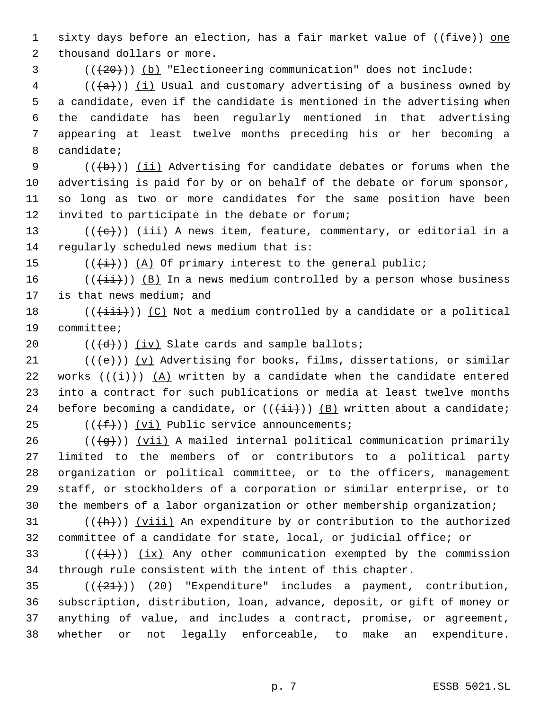1 sixty days before an election, has a fair market value of ((five)) one 2 thousand dollars or more.

 $3$  ( $(\overline{20})$ ) (b) "Electioneering communication" does not include:

 (( $\frac{1}{(a)})$  <u>(i)</u> Usual and customary advertising of a business owned by a candidate, even if the candidate is mentioned in the advertising when the candidate has been regularly mentioned in that advertising appearing at least twelve months preceding his or her becoming a candidate;

9 ( $(\overline{\mathbf{b}})$ ) (ii) Advertising for candidate debates or forums when the advertising is paid for by or on behalf of the debate or forum sponsor, so long as two or more candidates for the same position have been invited to participate in the debate or forum;

13 ( $(\langle e \rangle)$ ) <u>(iii)</u> A news item, feature, commentary, or editorial in a 14 regularly scheduled news medium that is:

15  $((\overleftrightarrow{t}))$   $(\overrightarrow{A})$  Of primary interest to the general public;

16 ( $(\{\pm i\})$  (B) In a news medium controlled by a person whose business 17 is that news medium; and

18 ( $(\{\pm i\}\})$  (C) Not a medium controlled by a candidate or a political 19 committee;

20  $((\{d\}))(iv)$  Slate cards and sample ballots;

21  $((\{e\}))(v)$  Advertising for books, films, dissertations, or similar 22 works  $((\overleftrightarrow{t}))$   $(A)$  written by a candidate when the candidate entered 23 into a contract for such publications or media at least twelve months 24 before becoming a candidate, or  $((\pm i))$   $(B)$  written about a candidate; 25  $((\text{#}))(\text{v}i)$  Public service announcements;

26 ( $(\frac{1}{9})$ ) (vii) A mailed internal political communication primarily limited to the members of or contributors to a political party organization or political committee, or to the officers, management staff, or stockholders of a corporation or similar enterprise, or to the members of a labor organization or other membership organization;

31  $((+h))$  (viii) An expenditure by or contribution to the authorized 32 committee of a candidate for state, local, or judicial office; or

33 ( $(\frac{1}{1})$ ) (ix) Any other communication exempted by the commission 34 through rule consistent with the intent of this chapter.

 $((+21))$   $(20)$  "Expenditure" includes a payment, contribution, subscription, distribution, loan, advance, deposit, or gift of money or anything of value, and includes a contract, promise, or agreement, whether or not legally enforceable, to make an expenditure.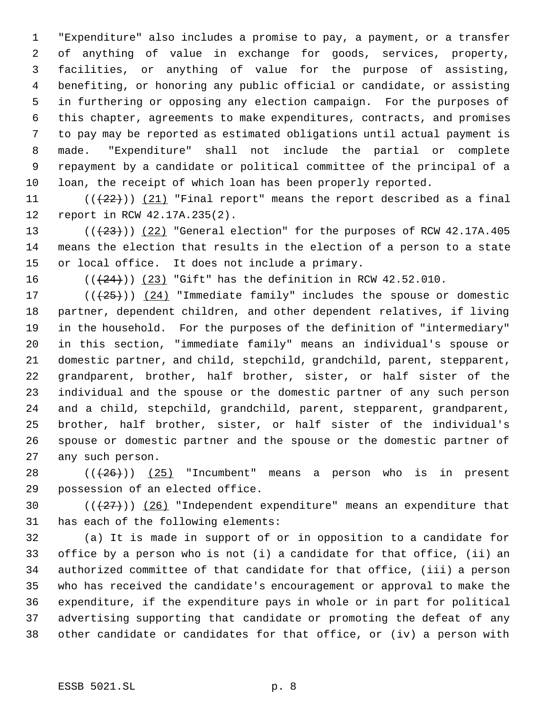"Expenditure" also includes a promise to pay, a payment, or a transfer of anything of value in exchange for goods, services, property, facilities, or anything of value for the purpose of assisting, benefiting, or honoring any public official or candidate, or assisting in furthering or opposing any election campaign. For the purposes of this chapter, agreements to make expenditures, contracts, and promises to pay may be reported as estimated obligations until actual payment is made. "Expenditure" shall not include the partial or complete repayment by a candidate or political committee of the principal of a loan, the receipt of which loan has been properly reported.

11  $((+22))$   $(21)$  "Final report" means the report described as a final report in RCW 42.17A.235(2).

13  $((+23))$   $(22)$  "General election" for the purposes of RCW 42.17A.405 means the election that results in the election of a person to a state or local office. It does not include a primary.

16  $((+24))$   $(23)$  "Gift" has the definition in RCW 42.52.010.

 $((+25))$   $(24)$  "Immediate family" includes the spouse or domestic partner, dependent children, and other dependent relatives, if living in the household. For the purposes of the definition of "intermediary" in this section, "immediate family" means an individual's spouse or domestic partner, and child, stepchild, grandchild, parent, stepparent, grandparent, brother, half brother, sister, or half sister of the individual and the spouse or the domestic partner of any such person and a child, stepchild, grandchild, parent, stepparent, grandparent, brother, half brother, sister, or half sister of the individual's spouse or domestic partner and the spouse or the domestic partner of any such person.

28  $((+26))$   $(25)$  "Incumbent" means a person who is in present possession of an elected office.

30  $((+27))$   $(26)$  "Independent expenditure" means an expenditure that has each of the following elements:

 (a) It is made in support of or in opposition to a candidate for office by a person who is not (i) a candidate for that office, (ii) an authorized committee of that candidate for that office, (iii) a person who has received the candidate's encouragement or approval to make the expenditure, if the expenditure pays in whole or in part for political advertising supporting that candidate or promoting the defeat of any other candidate or candidates for that office, or (iv) a person with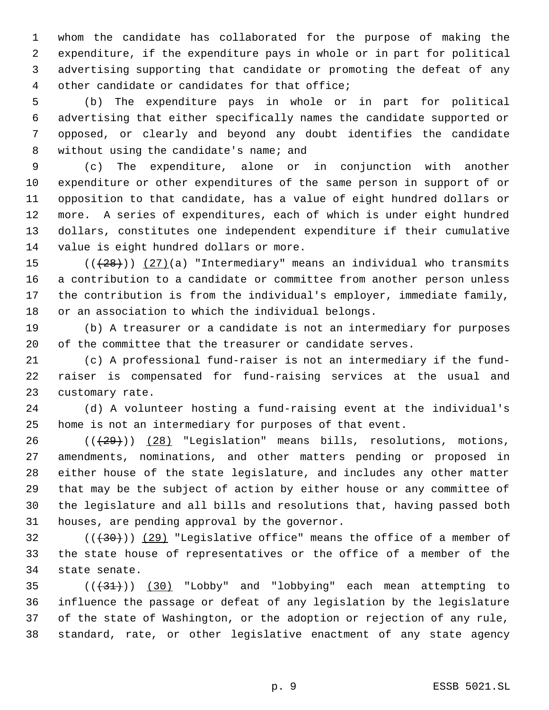whom the candidate has collaborated for the purpose of making the expenditure, if the expenditure pays in whole or in part for political advertising supporting that candidate or promoting the defeat of any other candidate or candidates for that office;

 (b) The expenditure pays in whole or in part for political advertising that either specifically names the candidate supported or opposed, or clearly and beyond any doubt identifies the candidate 8 without using the candidate's name; and

 (c) The expenditure, alone or in conjunction with another expenditure or other expenditures of the same person in support of or opposition to that candidate, has a value of eight hundred dollars or more. A series of expenditures, each of which is under eight hundred dollars, constitutes one independent expenditure if their cumulative value is eight hundred dollars or more.

 $((+28))$   $(27)(a)$  "Intermediary" means an individual who transmits a contribution to a candidate or committee from another person unless the contribution is from the individual's employer, immediate family, or an association to which the individual belongs.

 (b) A treasurer or a candidate is not an intermediary for purposes of the committee that the treasurer or candidate serves.

 (c) A professional fund-raiser is not an intermediary if the fund- raiser is compensated for fund-raising services at the usual and customary rate.

 (d) A volunteer hosting a fund-raising event at the individual's home is not an intermediary for purposes of that event.

 $((+29))$   $(28)$  "Legislation" means bills, resolutions, motions, amendments, nominations, and other matters pending or proposed in either house of the state legislature, and includes any other matter that may be the subject of action by either house or any committee of the legislature and all bills and resolutions that, having passed both houses, are pending approval by the governor.

32  $((+30))$  (29) "Legislative office" means the office of a member of the state house of representatives or the office of a member of the state senate.

 $($  ( $(31)$ )  $(30)$  "Lobby" and "lobbying" each mean attempting to influence the passage or defeat of any legislation by the legislature of the state of Washington, or the adoption or rejection of any rule, standard, rate, or other legislative enactment of any state agency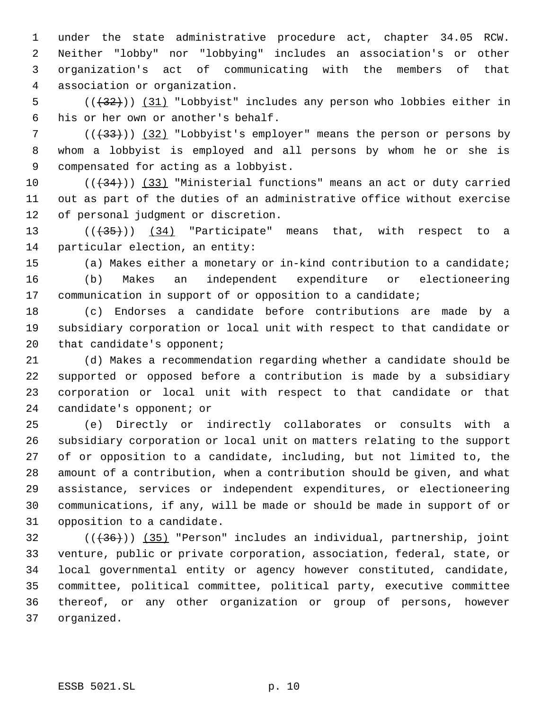under the state administrative procedure act, chapter 34.05 RCW. Neither "lobby" nor "lobbying" includes an association's or other organization's act of communicating with the members of that association or organization.

5 (( $(32)$ )) (31) "Lobbyist" includes any person who lobbies either in his or her own or another's behalf.

7 (( $(33)$ ) (32) "Lobbyist's employer" means the person or persons by whom a lobbyist is employed and all persons by whom he or she is compensated for acting as a lobbyist.

 $((+34))$   $(33)$  "Ministerial functions" means an act or duty carried out as part of the duties of an administrative office without exercise of personal judgment or discretion.

13  $((+35))$   $(34)$  "Participate" means that, with respect to a particular election, an entity:

(a) Makes either a monetary or in-kind contribution to a candidate;

 (b) Makes an independent expenditure or electioneering communication in support of or opposition to a candidate;

 (c) Endorses a candidate before contributions are made by a subsidiary corporation or local unit with respect to that candidate or 20 that candidate's opponent;

 (d) Makes a recommendation regarding whether a candidate should be supported or opposed before a contribution is made by a subsidiary corporation or local unit with respect to that candidate or that candidate's opponent; or

 (e) Directly or indirectly collaborates or consults with a subsidiary corporation or local unit on matters relating to the support of or opposition to a candidate, including, but not limited to, the amount of a contribution, when a contribution should be given, and what assistance, services or independent expenditures, or electioneering communications, if any, will be made or should be made in support of or opposition to a candidate.

 ( $(\overline{36})$ ) ( $35$ ) "Person" includes an individual, partnership, joint venture, public or private corporation, association, federal, state, or local governmental entity or agency however constituted, candidate, committee, political committee, political party, executive committee thereof, or any other organization or group of persons, however organized.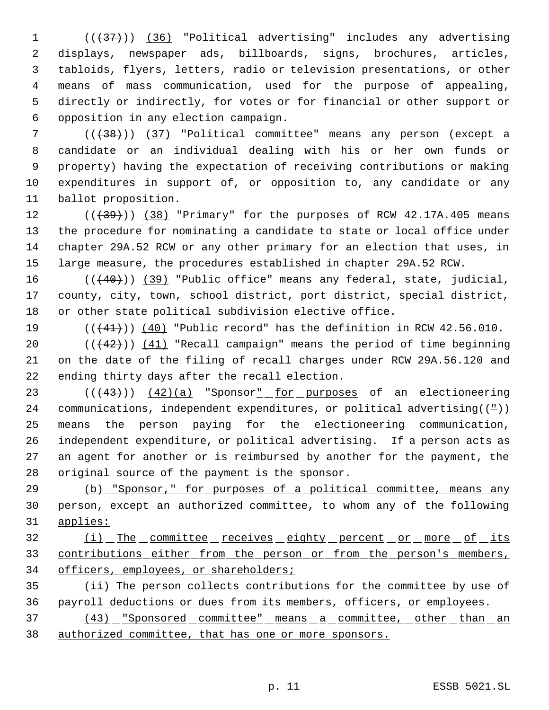1 (( $\left(\frac{1}{37}\right)$ ) (36) "Political advertising" includes any advertising displays, newspaper ads, billboards, signs, brochures, articles, tabloids, flyers, letters, radio or television presentations, or other means of mass communication, used for the purpose of appealing, directly or indirectly, for votes or for financial or other support or opposition in any election campaign.

7 (( $\left(\frac{1}{38}\right)$ ) (37) "Political committee" means any person (except a candidate or an individual dealing with his or her own funds or property) having the expectation of receiving contributions or making expenditures in support of, or opposition to, any candidate or any ballot proposition.

 $((+39))$   $(38)$  "Primary" for the purposes of RCW 42.17A.405 means the procedure for nominating a candidate to state or local office under chapter 29A.52 RCW or any other primary for an election that uses, in large measure, the procedures established in chapter 29A.52 RCW.

16 (((40))) (39) "Public office" means any federal, state, judicial, county, city, town, school district, port district, special district, or other state political subdivision elective office.

 $((441))$  (40) "Public record" has the definition in RCW 42.56.010.

20  $((+42))$   $(41)$  "Recall campaign" means the period of time beginning on the date of the filing of recall charges under RCW 29A.56.120 and ending thirty days after the recall election.

23 (( $(43)$ )) (42)(a) "Sponsor<u>" for purposes</u> of an electioneering 24 communications, independent expenditures, or political advertising( $(\frac{\mu}{\sigma})$ ) means the person paying for the electioneering communication, independent expenditure, or political advertising. If a person acts as an agent for another or is reimbursed by another for the payment, the original source of the payment is the sponsor.

 (b) "Sponsor," for purposes of a political committee, means any person, except an authorized committee, to whom any of the following applies:

32 (i) The committee receives eighty percent or more of its 33 contributions either from the person or from the person's members, 34 officers, employees, or shareholders;

 (ii) The person collects contributions for the committee by use of payroll deductions or dues from its members, officers, or employees.

37 (43) "Sponsored committee" means a committee, other than an authorized committee, that has one or more sponsors.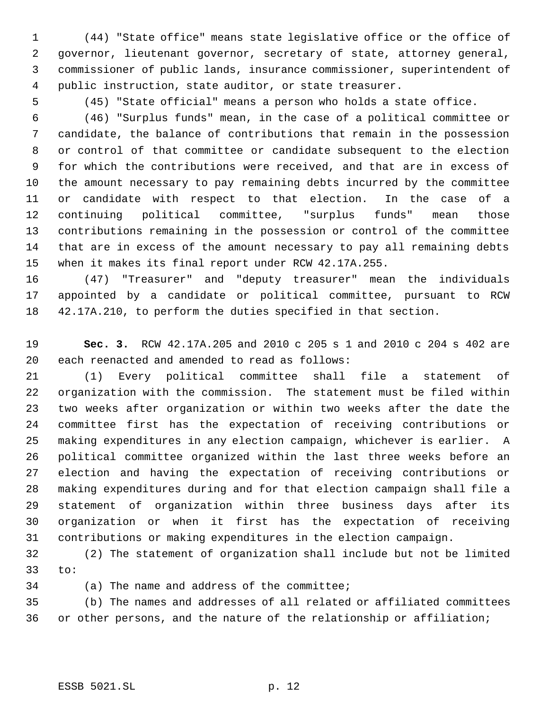(44) "State office" means state legislative office or the office of governor, lieutenant governor, secretary of state, attorney general, commissioner of public lands, insurance commissioner, superintendent of public instruction, state auditor, or state treasurer.

(45) "State official" means a person who holds a state office.

 (46) "Surplus funds" mean, in the case of a political committee or candidate, the balance of contributions that remain in the possession or control of that committee or candidate subsequent to the election for which the contributions were received, and that are in excess of the amount necessary to pay remaining debts incurred by the committee or candidate with respect to that election. In the case of a continuing political committee, "surplus funds" mean those contributions remaining in the possession or control of the committee that are in excess of the amount necessary to pay all remaining debts when it makes its final report under RCW 42.17A.255.

 (47) "Treasurer" and "deputy treasurer" mean the individuals appointed by a candidate or political committee, pursuant to RCW 42.17A.210, to perform the duties specified in that section.

 **Sec. 3.** RCW 42.17A.205 and 2010 c 205 s 1 and 2010 c 204 s 402 are each reenacted and amended to read as follows:

 (1) Every political committee shall file a statement of organization with the commission. The statement must be filed within two weeks after organization or within two weeks after the date the committee first has the expectation of receiving contributions or making expenditures in any election campaign, whichever is earlier. A political committee organized within the last three weeks before an election and having the expectation of receiving contributions or making expenditures during and for that election campaign shall file a statement of organization within three business days after its organization or when it first has the expectation of receiving contributions or making expenditures in the election campaign.

 (2) The statement of organization shall include but not be limited to:

(a) The name and address of the committee;

 (b) The names and addresses of all related or affiliated committees or other persons, and the nature of the relationship or affiliation;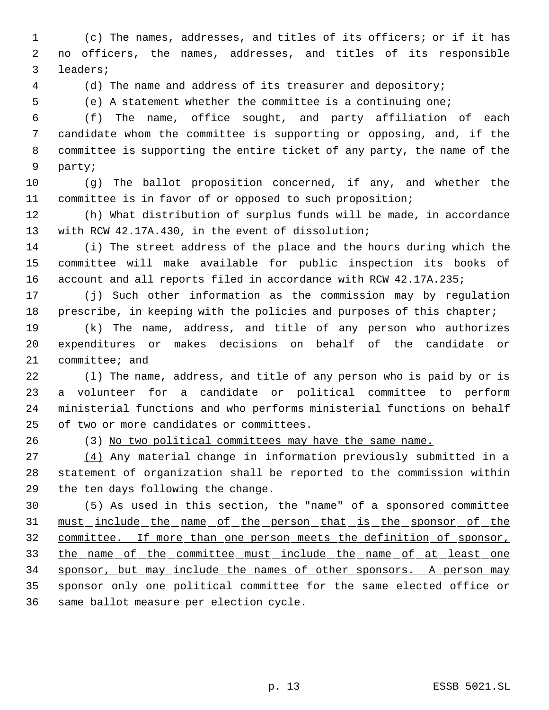(c) The names, addresses, and titles of its officers; or if it has no officers, the names, addresses, and titles of its responsible leaders;

(d) The name and address of its treasurer and depository;

(e) A statement whether the committee is a continuing one;

 (f) The name, office sought, and party affiliation of each candidate whom the committee is supporting or opposing, and, if the committee is supporting the entire ticket of any party, the name of the party;

 (g) The ballot proposition concerned, if any, and whether the committee is in favor of or opposed to such proposition;

 (h) What distribution of surplus funds will be made, in accordance with RCW 42.17A.430, in the event of dissolution;

 (i) The street address of the place and the hours during which the committee will make available for public inspection its books of account and all reports filed in accordance with RCW 42.17A.235;

 (j) Such other information as the commission may by regulation 18 prescribe, in keeping with the policies and purposes of this chapter;

 (k) The name, address, and title of any person who authorizes expenditures or makes decisions on behalf of the candidate or committee; and

 (l) The name, address, and title of any person who is paid by or is a volunteer for a candidate or political committee to perform ministerial functions and who performs ministerial functions on behalf of two or more candidates or committees.

(3) No two political committees may have the same name.

 (4) Any material change in information previously submitted in a statement of organization shall be reported to the commission within the ten days following the change.

 (5) As used in this section, the "name" of a sponsored committee must include the name of the person that is the sponsor of the 32 committee. If more than one person meets the definition of sponsor, 33 the name of the committee must include the name of at least one sponsor, but may include the names of other sponsors. A person may sponsor only one political committee for the same elected office or same ballot measure per election cycle.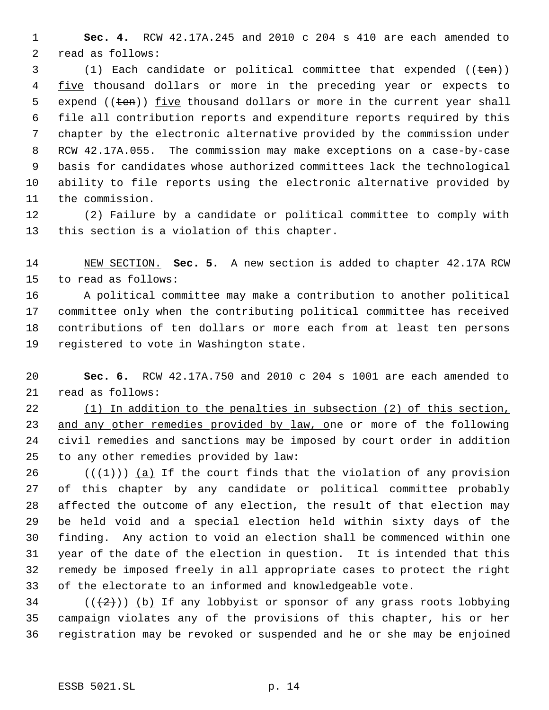**Sec. 4.** RCW 42.17A.245 and 2010 c 204 s 410 are each amended to read as follows:

 (1) Each candidate or political committee that expended ((ten)) 4 five thousand dollars or more in the preceding year or expects to 5 expend ( $(\text{ten})$ ) five thousand dollars or more in the current year shall file all contribution reports and expenditure reports required by this chapter by the electronic alternative provided by the commission under RCW 42.17A.055. The commission may make exceptions on a case-by-case basis for candidates whose authorized committees lack the technological ability to file reports using the electronic alternative provided by the commission.

 (2) Failure by a candidate or political committee to comply with this section is a violation of this chapter.

 NEW SECTION. **Sec. 5.** A new section is added to chapter 42.17A RCW to read as follows:

 A political committee may make a contribution to another political committee only when the contributing political committee has received contributions of ten dollars or more each from at least ten persons registered to vote in Washington state.

 **Sec. 6.** RCW 42.17A.750 and 2010 c 204 s 1001 are each amended to read as follows:

 (1) In addition to the penalties in subsection (2) of this section, and any other remedies provided by law, one or more of the following civil remedies and sanctions may be imposed by court order in addition to any other remedies provided by law:

26 ( $(\frac{1}{1})$ ) (a) If the court finds that the violation of any provision of this chapter by any candidate or political committee probably affected the outcome of any election, the result of that election may be held void and a special election held within sixty days of the finding. Any action to void an election shall be commenced within one year of the date of the election in question. It is intended that this remedy be imposed freely in all appropriate cases to protect the right of the electorate to an informed and knowledgeable vote.

 (( $(2)$ )) (b) If any lobbyist or sponsor of any grass roots lobbying campaign violates any of the provisions of this chapter, his or her registration may be revoked or suspended and he or she may be enjoined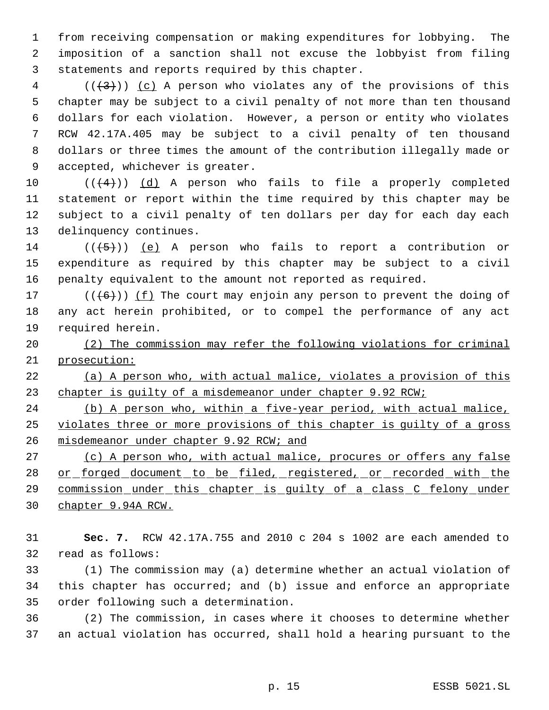from receiving compensation or making expenditures for lobbying. The imposition of a sanction shall not excuse the lobbyist from filing statements and reports required by this chapter.

 (( $(3)$ )) (c) A person who violates any of the provisions of this chapter may be subject to a civil penalty of not more than ten thousand dollars for each violation. However, a person or entity who violates RCW 42.17A.405 may be subject to a civil penalty of ten thousand dollars or three times the amount of the contribution illegally made or accepted, whichever is greater.

 $((4+))$  (d) A person who fails to file a properly completed statement or report within the time required by this chapter may be subject to a civil penalty of ten dollars per day for each day each delinquency continues.

14  $((\langle 5 \rangle))$  (e) A person who fails to report a contribution or expenditure as required by this chapter may be subject to a civil penalty equivalent to the amount not reported as required.

17 ( $(\overline{6})$ ) (f) The court may enjoin any person to prevent the doing of any act herein prohibited, or to compel the performance of any act required herein.

 (2) The commission may refer the following violations for criminal prosecution:

 (a) A person who, with actual malice, violates a provision of this 23 chapter is quilty of a misdemeanor under chapter 9.92 RCW;

 (b) A person who, within a five-year period, with actual malice, violates three or more provisions of this chapter is guilty of a gross 26 misdemeanor under chapter 9.92 RCW; and

27 (c) A person who, with actual malice, procures or offers any false 28 or forged document to be filed, registered, or recorded with the commission under this chapter is guilty of a class C felony under chapter 9.94A RCW.

 **Sec. 7.** RCW 42.17A.755 and 2010 c 204 s 1002 are each amended to read as follows:

 (1) The commission may (a) determine whether an actual violation of this chapter has occurred; and (b) issue and enforce an appropriate order following such a determination.

 (2) The commission, in cases where it chooses to determine whether an actual violation has occurred, shall hold a hearing pursuant to the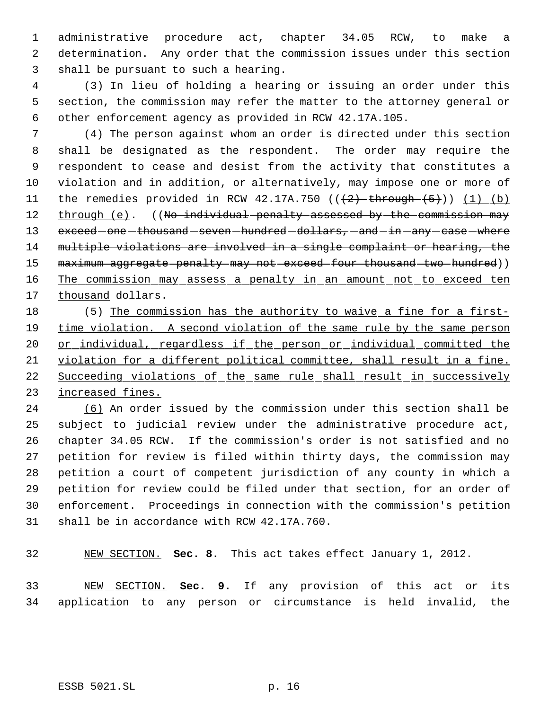administrative procedure act, chapter 34.05 RCW, to make a determination. Any order that the commission issues under this section shall be pursuant to such a hearing.

 (3) In lieu of holding a hearing or issuing an order under this section, the commission may refer the matter to the attorney general or other enforcement agency as provided in RCW 42.17A.105.

 (4) The person against whom an order is directed under this section shall be designated as the respondent. The order may require the respondent to cease and desist from the activity that constitutes a violation and in addition, or alternatively, may impose one or more of 11 the remedies provided in RCW 42.17A.750  $((+2)$  through  $(+5)$ )  $(1)$   $(b)$ 12 through (e). ((No individual penalty assessed by the commission may 13 exceed one thousand seven hundred dollars, and in any case where multiple violations are involved in a single complaint or hearing, the 15 maximum aggregate penalty may not exceed four thousand two hundred)) 16 The commission may assess a penalty in an amount not to exceed ten 17 thousand dollars.

 (5) The commission has the authority to waive a fine for a first-19 time violation. A second violation of the same rule by the same person 20 or individual, regardless if the person or individual committed the violation for a different political committee, shall result in a fine. 22 Succeeding violations of the same rule shall result in successively increased fines.

 (6) An order issued by the commission under this section shall be subject to judicial review under the administrative procedure act, chapter 34.05 RCW. If the commission's order is not satisfied and no petition for review is filed within thirty days, the commission may petition a court of competent jurisdiction of any county in which a petition for review could be filed under that section, for an order of enforcement. Proceedings in connection with the commission's petition shall be in accordance with RCW 42.17A.760.

NEW SECTION. **Sec. 8.** This act takes effect January 1, 2012.

 NEW SECTION. **Sec. 9.** If any provision of this act or its application to any person or circumstance is held invalid, the